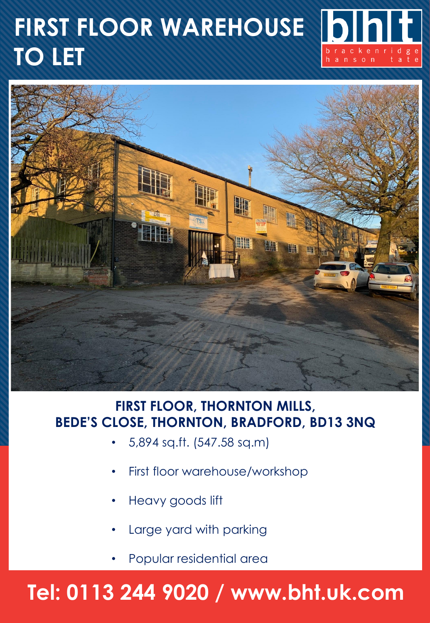# **FIRST FLOOR WAREHOUSE TO LET**





### **FIRST FLOOR, THORNTON MILLS, BEDE'S CLOSE, THORNTON, BRADFORD, BD13 3NQ**

- 5,894 sq.ft. (547.58 sq.m)
- First floor warehouse/workshop
- Heavy goods lift
- Large yard with parking
- Popular residential area

## **Tel: 0113 244 9020 / www.bht.uk.com**